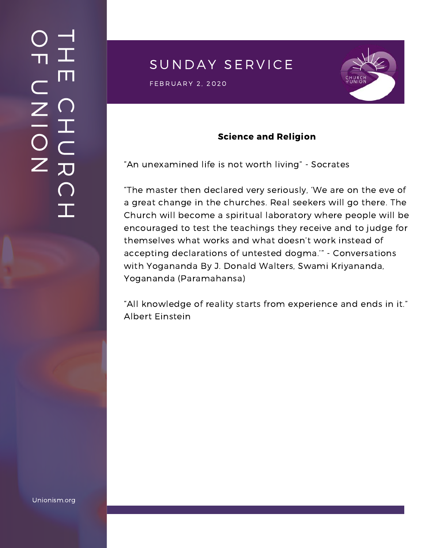## SUNDAY SERVICE

 $\mathsf{FEBRUARY\ 2,\ 2020}$ 



### Science and Religion

"An unexamined life is not worth living" - Socrates

"The master then declared very seriously, 'We are on the eve of a great change in the churches. Real seekers will go there. The Church will become a spiritual laboratory where people will be encouraged to test the teachings they receive and to judge for themselves what works and what doesn't work instead of accepting declarations of untested dogma.'" - Conversations with Yogananda By J. Donald Walters, Swami Kriyananda, Yogananda (Paramahansa)

"All knowledge of reality starts from experience and ends in it." Albert Einstein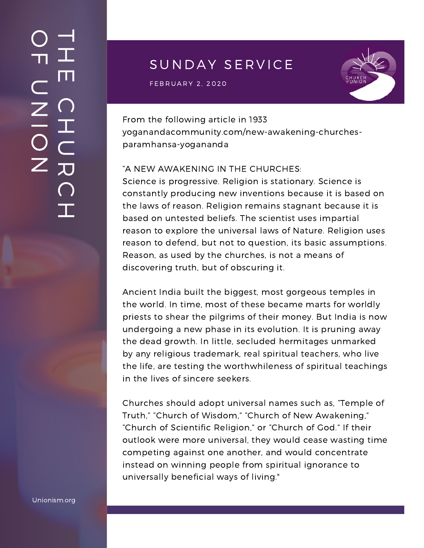# SUNDAY SERVICE

 $\mathsf{FEBRUARY\ 2,\ 2020}$ 



From the following article in 1933 [yoganandacommunity.com/new-awakening-churches](https://www.yoganandacommunity.com/new-awakening-churches-paramhansa-yogananda/)paramhansa-yogananda

#### "A NEW AWAKENING IN THE CHURCHES:

Science is progressive. Religion is stationary. Science is constantly producing new inventions because it is based on the laws of reason. Religion remains stagnant because it is based on untested beliefs. The scientist uses impartial reason to explore the universal laws of Nature. Religion uses reason to defend, but not to question, its basic assumptions. Reason, as used by the churches, is not a means of discovering truth, but of obscuring it.

Ancient India built the biggest, most gorgeous temples in the world. In time, most of these became marts for worldly priests to shear the pilgrims of their money. But India is now undergoing a new phase in its evolution. It is pruning away the dead growth. In little, secluded hermitages unmarked by any religious trademark, real spiritual teachers, who live the life, are testing the worthwhileness of spiritual teachings in the lives of sincere seekers.

Churches should adopt universal names such as, "Temple of Truth," "Church of Wisdom," "Church of New Awakening," "Church of Scientific Religion," or "Church of God." If their outlook were more universal, they would cease wasting time competing against one another, and would concentrate instead on winning people from spiritual ignorance to universally beneficial ways of living."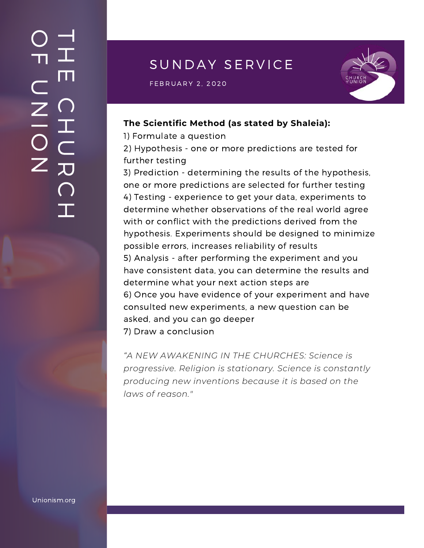# SUNDAY SERVICE

 $\mathsf{FEBRUARY\ 2,\ 2020}$  and  $\mathsf{SFRURY}$  and  $\mathsf{SFRURY}$  and  $\mathsf{SFRURY}$ 



#### **The Scientific Method (as stated by Shaleia):**

1) Formulate a question

2) Hypothesis - one or more predictions are tested for further testing

3) Prediction - determining the results of the hypothesis, one or more predictions are selected for further testing 4) Testing - experience to get your data, experiments to determine whether observations of the real world agree with or conflict with the predictions derived from the hypothesis. Experiments should be designed to minimize possible errors, increases reliability of results 5) Analysis - after performing the experiment and you have consistent data, you can determine the results and determine what your next action steps are 6) Once you have evidence of your experiment and have consulted new experiments, a new question can be asked, and you can go deeper 7) Draw a conclusion

*"A NEW AWAKENING IN THE CHURCHES: Science is progressive. Religion is stationary. Science is constantly producing new inventions because it is based on the laws of reason."*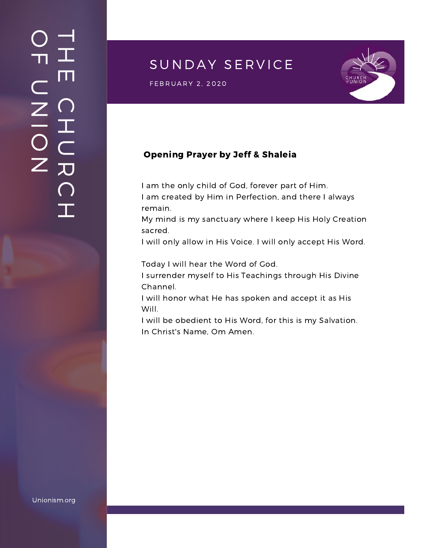## SUNDAY SERVICE

 $\mathsf{FEBRUARY\ 2,\ 2020}$  and  $\mathsf{SFRURY}$  and  $\mathsf{SFRURY}$ 



### Opening Prayer by Jeff & Shaleia

I am the only child of God, forever part of Him. I am created by Him in Perfection, and there I always

remain.

My mind is my sanctuary where I keep His Holy Creation sacred.

I will only allow in His Voice. I will only accept His Word.

Today I will hear the Word of God.

I surrender myself to His Teachings through His Divine Channel.

I will honor what He has spoken and accept it as His Will.

I will be obedient to His Word, for this is my Salvation. In Christ's Name, Om Amen.